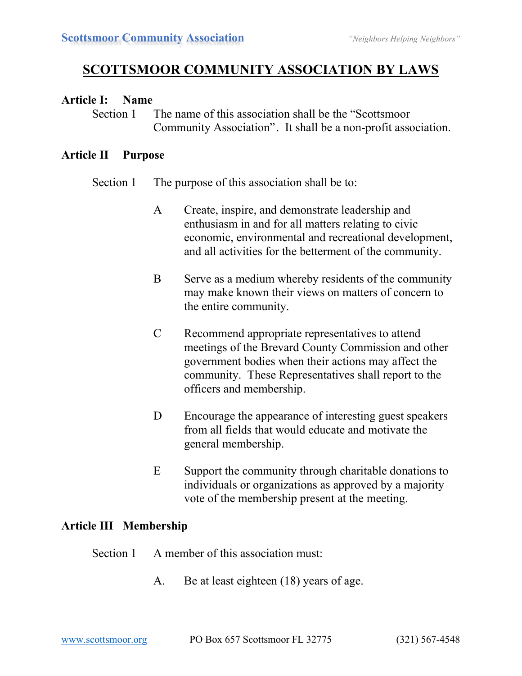# **SCOTTSMOOR COMMUNITY ASSOCIATION BY LAWS**

### **Article I: Name**

Section 1 The name of this association shall be the "Scottsmoor" Community Association". It shall be a non-profit association.

### **Article II Purpose**

Section 1 The purpose of this association shall be to:

- A Create, inspire, and demonstrate leadership and enthusiasm in and for all matters relating to civic economic, environmental and recreational development, and all activities for the betterment of the community.
- B Serve as a medium whereby residents of the community may make known their views on matters of concern to the entire community.
- C Recommend appropriate representatives to attend meetings of the Brevard County Commission and other government bodies when their actions may affect the community. These Representatives shall report to the officers and membership.
- D Encourage the appearance of interesting guest speakers from all fields that would educate and motivate the general membership.
- E Support the community through charitable donations to individuals or organizations as approved by a majority vote of the membership present at the meeting.

### **Article III Membership**

- Section 1 A member of this association must:
	- A. Be at least eighteen (18) years of age.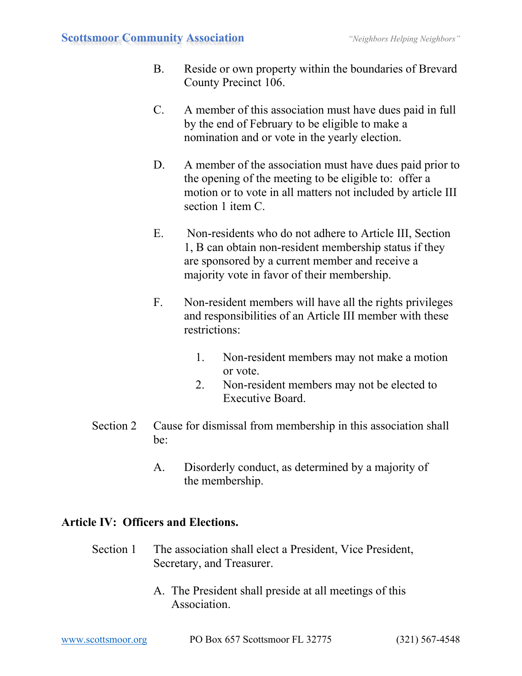- B. Reside or own property within the boundaries of Brevard County Precinct 106.
- C. A member of this association must have dues paid in full by the end of February to be eligible to make a nomination and or vote in the yearly election.
- D. A member of the association must have dues paid prior to the opening of the meeting to be eligible to: offer a motion or to vote in all matters not included by article III section 1 item C.
- E. Non-residents who do not adhere to Article III, Section 1, B can obtain non-resident membership status if they are sponsored by a current member and receive a majority vote in favor of their membership.
- F. Non-resident members will have all the rights privileges and responsibilities of an Article III member with these restrictions:
	- 1. Non-resident members may not make a motion or vote.
	- 2. Non-resident members may not be elected to Executive Board.
- Section 2 Cause for dismissal from membership in this association shall be:
	- A. Disorderly conduct, as determined by a majority of the membership.

# **Article IV: Officers and Elections.**

- Section 1 The association shall elect a President, Vice President, Secretary, and Treasurer.
	- A. The President shall preside at all meetings of this **Association**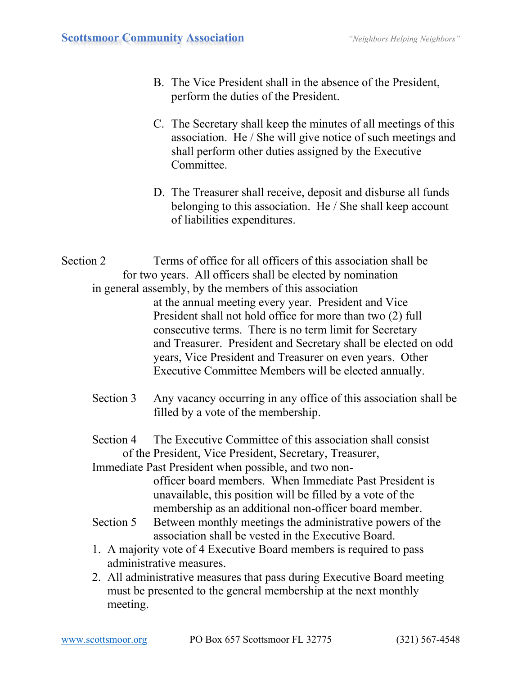- B. The Vice President shall in the absence of the President, perform the duties of the President.
- C. The Secretary shall keep the minutes of all meetings of this association. He / She will give notice of such meetings and shall perform other duties assigned by the Executive Committee.
- D. The Treasurer shall receive, deposit and disburse all funds belonging to this association. He / She shall keep account of liabilities expenditures.
- Section 2 Terms of office for all officers of this association shall be for two years. All officers shall be elected by nomination in general assembly, by the members of this association at the annual meeting every year. President and Vice President shall not hold office for more than two (2) full consecutive terms. There is no term limit for Secretary and Treasurer. President and Secretary shall be elected on odd years, Vice President and Treasurer on even years. Other Executive Committee Members will be elected annually.
	- Section 3 Any vacancy occurring in any office of this association shall be filled by a vote of the membership.
	- Section 4 The Executive Committee of this association shall consist of the President, Vice President, Secretary, Treasurer,

Immediate Past President when possible, and two nonofficer board members. When Immediate Past President is unavailable, this position will be filled by a vote of the membership as an additional non-officer board member.

- Section 5 Between monthly meetings the administrative powers of the association shall be vested in the Executive Board.
- 1. A majority vote of 4 Executive Board members is required to pass administrative measures.
- 2. All administrative measures that pass during Executive Board meeting must be presented to the general membership at the next monthly meeting.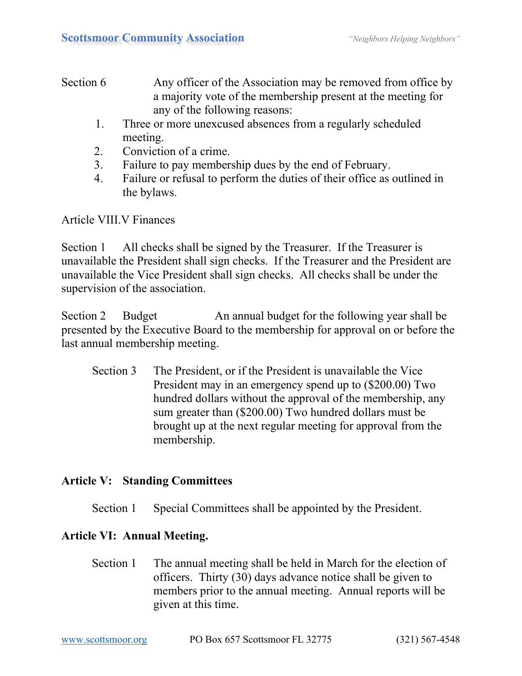### Section 6 Any officer of the Association may be removed from office by a majority vote of the membership present at the meeting for any of the following reasons:

- 1. Three or more unexcused absences from a regularly scheduled meeting.
- 2. Conviction of a crime.
- 3. Failure to pay membership dues by the end of February.
- 4. Failure or refusal to perform the duties of their office as outlined in the bylaws.

Article VIII.V Finances

Section 1 All checks shall be signed by the Treasurer. If the Treasurer is unavailable the President shall sign checks. If the Treasurer and the President are unavailable the Vice President shall sign checks. All checks shall be under the supervision of the association.

Section 2 Budget An annual budget for the following year shall be presented by the Executive Board to the membership for approval on or before the last annual membership meeting.

Section 3 The President, or if the President is unavailable the Vice President may in an emergency spend up to (\$200.00) Two hundred dollars without the approval of the membership, any sum greater than (\$200.00) Two hundred dollars must be brought up at the next regular meeting for approval from the membership.

# **Article V: Standing Committees**

Section 1 Special Committees shall be appointed by the President.

# **Article VI: Annual Meeting.**

Section 1 The annual meeting shall be held in March for the election of officers. Thirty (30) days advance notice shall be given to members prior to the annual meeting. Annual reports will be given at this time.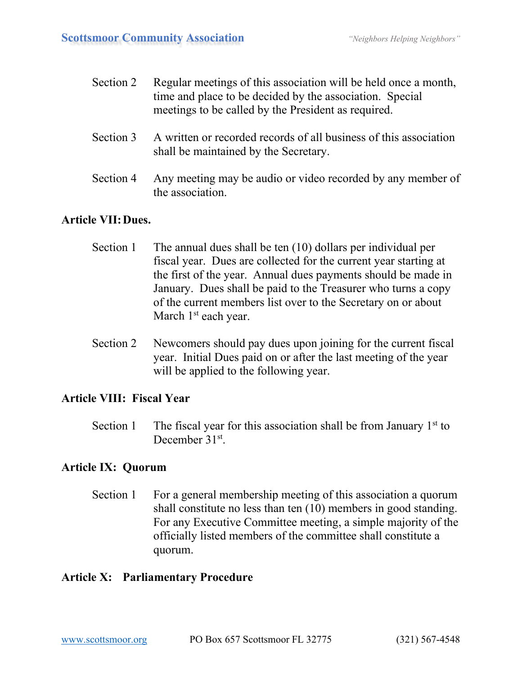| Section 2 | Regular meetings of this association will be held once a month,<br>time and place to be decided by the association. Special<br>meetings to be called by the President as required. |
|-----------|------------------------------------------------------------------------------------------------------------------------------------------------------------------------------------|
| Section 3 | A written or recorded records of all business of this association<br>shall be maintained by the Secretary.                                                                         |
| Section 4 | Any meeting may be audio or video recorded by any member of<br>the association.                                                                                                    |

### **Article VII:Dues.**

- Section 1 The annual dues shall be ten (10) dollars per individual per fiscal year. Dues are collected for the current year starting at the first of the year. Annual dues payments should be made in January. Dues shall be paid to the Treasurer who turns a copy of the current members list over to the Secretary on or about March 1<sup>st</sup> each year.
- Section 2 Newcomers should pay dues upon joining for the current fiscal year. Initial Dues paid on or after the last meeting of the year will be applied to the following year.

### **Article VIII: Fiscal Year**

Section 1 The fiscal year for this association shall be from January  $1<sup>st</sup>$  to December 31<sup>st</sup>

### **Article IX: Quorum**

Section 1 For a general membership meeting of this association a quorum shall constitute no less than ten (10) members in good standing. For any Executive Committee meeting, a simple majority of the officially listed members of the committee shall constitute a quorum.

### **Article X: Parliamentary Procedure**